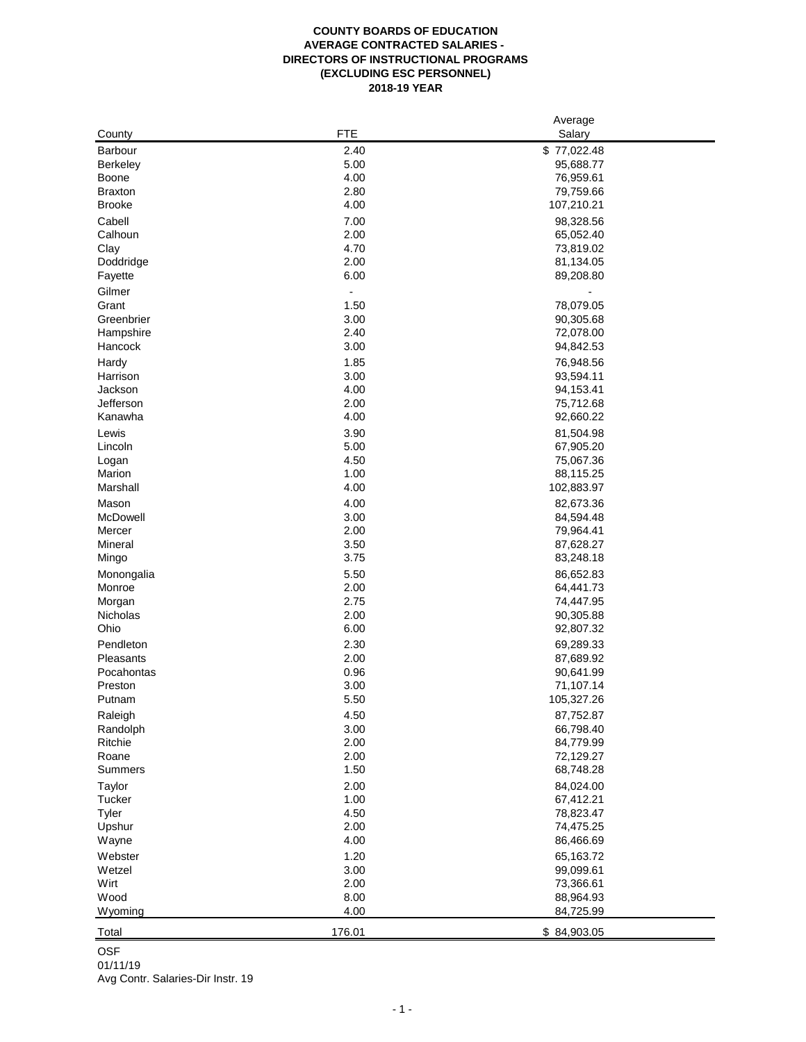## **COUNTY BOARDS OF EDUCATION AVERAGE CONTRACTED SALARIES - DIRECTORS OF INSTRUCTIONAL PROGRAMS (EXCLUDING ESC PERSONNEL) 2018-19 YEAR**

|                 |                          | Average     |
|-----------------|--------------------------|-------------|
| County          | <b>FTE</b>               | Salary      |
| <b>Barbour</b>  | 2.40                     | \$77,022.48 |
| <b>Berkeley</b> | 5.00                     | 95,688.77   |
| Boone           | 4.00                     | 76,959.61   |
| <b>Braxton</b>  | 2.80                     | 79,759.66   |
| <b>Brooke</b>   | 4.00                     | 107,210.21  |
|                 |                          |             |
| Cabell          | 7.00                     | 98,328.56   |
| Calhoun         | 2.00                     | 65,052.40   |
| Clay            | 4.70                     | 73,819.02   |
| Doddridge       | 2.00                     | 81,134.05   |
| Fayette         | 6.00                     | 89,208.80   |
| Gilmer          | $\overline{\phantom{m}}$ |             |
| Grant           | 1.50                     | 78,079.05   |
| Greenbrier      | 3.00                     | 90,305.68   |
| Hampshire       | 2.40                     | 72,078.00   |
| Hancock         | 3.00                     | 94,842.53   |
| Hardy           | 1.85                     | 76,948.56   |
| Harrison        | 3.00                     | 93,594.11   |
| Jackson         | 4.00                     | 94,153.41   |
| Jefferson       | 2.00                     | 75,712.68   |
| Kanawha         | 4.00                     | 92,660.22   |
|                 |                          |             |
| Lewis           | 3.90                     | 81,504.98   |
| Lincoln         | 5.00                     | 67,905.20   |
| Logan           | 4.50                     | 75,067.36   |
| Marion          | 1.00                     | 88,115.25   |
| Marshall        | 4.00                     | 102,883.97  |
| Mason           | 4.00                     | 82,673.36   |
| McDowell        | 3.00                     | 84,594.48   |
| Mercer          | 2.00                     | 79,964.41   |
| Mineral         | 3.50                     | 87,628.27   |
| Mingo           | 3.75                     | 83,248.18   |
| Monongalia      | 5.50                     | 86,652.83   |
| Monroe          | 2.00                     | 64,441.73   |
| Morgan          | 2.75                     | 74,447.95   |
| Nicholas        | 2.00                     | 90,305.88   |
| Ohio            | 6.00                     | 92,807.32   |
| Pendleton       | 2.30                     |             |
|                 |                          | 69,289.33   |
| Pleasants       | 2.00                     | 87,689.92   |
| Pocahontas      | 0.96                     | 90,641.99   |
| Preston         | 3.00                     | 71,107.14   |
| Putnam          | 5.50                     | 105,327.26  |
| Raleigh         | 4.50                     | 87,752.87   |
| Randolph        | 3.00                     | 66,798.40   |
| Ritchie         | 2.00                     | 84,779.99   |
| Roane           | 2.00                     | 72,129.27   |
| <b>Summers</b>  | 1.50                     | 68,748.28   |
| Taylor          | 2.00                     | 84,024.00   |
| Tucker          | 1.00                     | 67,412.21   |
| Tyler           | 4.50                     | 78,823.47   |
| Upshur          | 2.00                     | 74,475.25   |
| Wayne           | 4.00                     | 86,466.69   |
|                 |                          |             |
| Webster         | 1.20                     | 65,163.72   |
| Wetzel          | 3.00                     | 99,099.61   |
| Wirt            | 2.00                     | 73,366.61   |
| Wood            | 8.00                     | 88,964.93   |
| Wyoming         | 4.00                     | 84,725.99   |
| Total           | 176.01                   | \$84,903.05 |

OSF

01/11/19

Avg Contr. Salaries-Dir Instr. 19